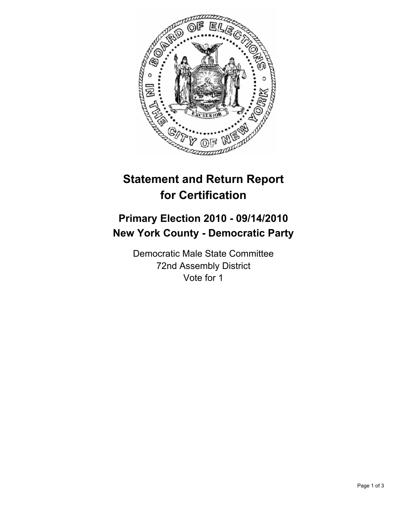

## **Statement and Return Report for Certification**

## **Primary Election 2010 - 09/14/2010 New York County - Democratic Party**

Democratic Male State Committee 72nd Assembly District Vote for 1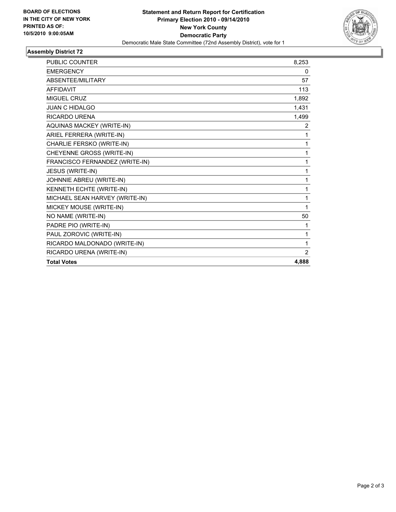

## **Assembly District 72**

| <b>PUBLIC COUNTER</b>          | 8,253 |
|--------------------------------|-------|
| <b>EMERGENCY</b>               | 0     |
| ABSENTEE/MILITARY              | 57    |
| <b>AFFIDAVIT</b>               | 113   |
| <b>MIGUEL CRUZ</b>             | 1,892 |
| <b>JUAN C HIDALGO</b>          | 1,431 |
| <b>RICARDO URENA</b>           | 1,499 |
| AQUINAS MACKEY (WRITE-IN)      | 2     |
| ARIEL FERRERA (WRITE-IN)       | 1     |
| CHARLIE FERSKO (WRITE-IN)      | 1     |
| CHEYENNE GROSS (WRITE-IN)      | 1     |
| FRANCISCO FERNANDEZ (WRITE-IN) | 1     |
| JESUS (WRITE-IN)               | 1     |
| JOHNNIE ABREU (WRITE-IN)       | 1     |
| KENNETH ECHTE (WRITE-IN)       | 1     |
| MICHAEL SEAN HARVEY (WRITE-IN) | 1     |
| MICKEY MOUSE (WRITE-IN)        | 1     |
| NO NAME (WRITE-IN)             | 50    |
| PADRE PIO (WRITE-IN)           | 1     |
| PAUL ZOROVIC (WRITE-IN)        | 1     |
| RICARDO MALDONADO (WRITE-IN)   | 1     |
| RICARDO URENA (WRITE-IN)       | 2     |
| <b>Total Votes</b>             | 4,888 |